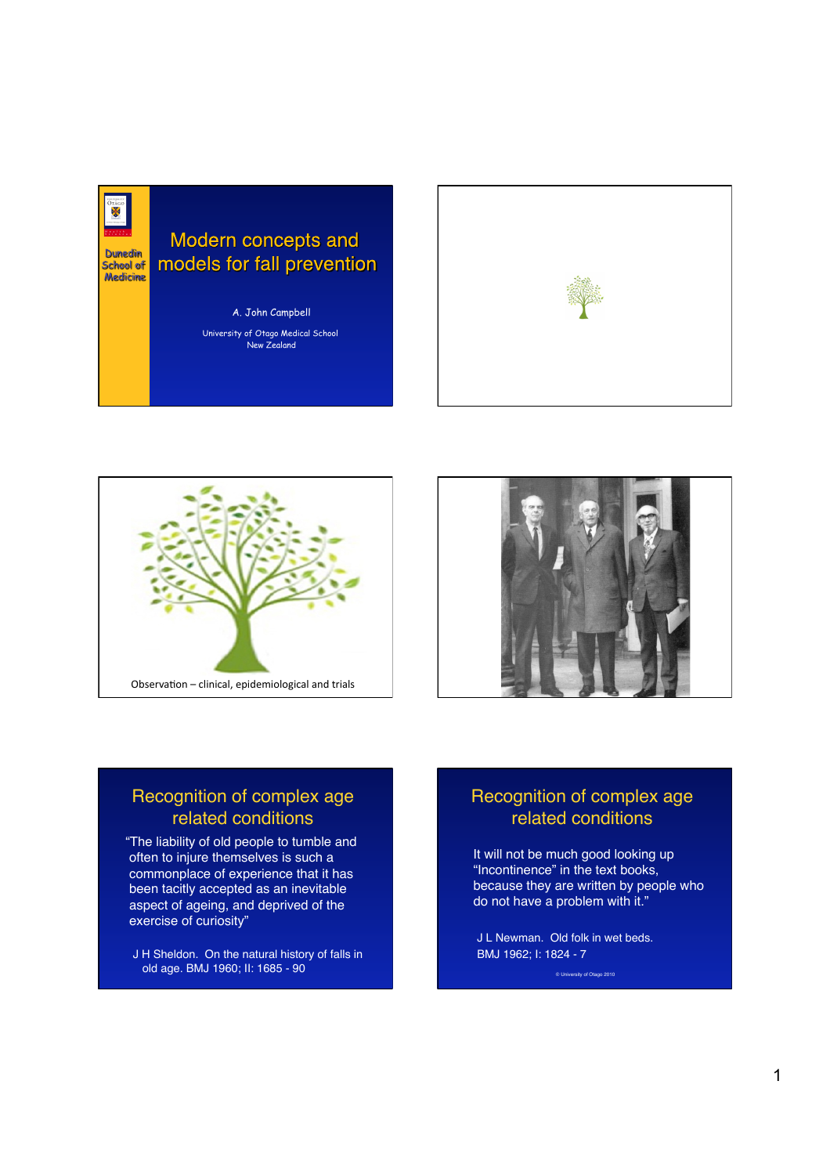

**Dunedin** 

#### Modern concepts and models for fall prevention School of Medicine

A. John Campbell

University of Otago Medical School New Zealand







# Recognition of complex age related conditions

 "The liability of old people to tumble and often to injure themselves is such a commonplace of experience that it has been tacitly accepted as an inevitable aspect of ageing, and deprived of the exercise of curiosity"

J H Sheldon. On the natural history of falls in old age. BMJ 1960; II: 1685 - 90

# Recognition of complex age related conditions

 It will not be much good looking up "Incontinence" in the text books, because they are written by people who do not have a problem with it."

J L Newman. Old folk in wet beds. BMJ 1962; I: 1824 - 7

© University of Otago 2010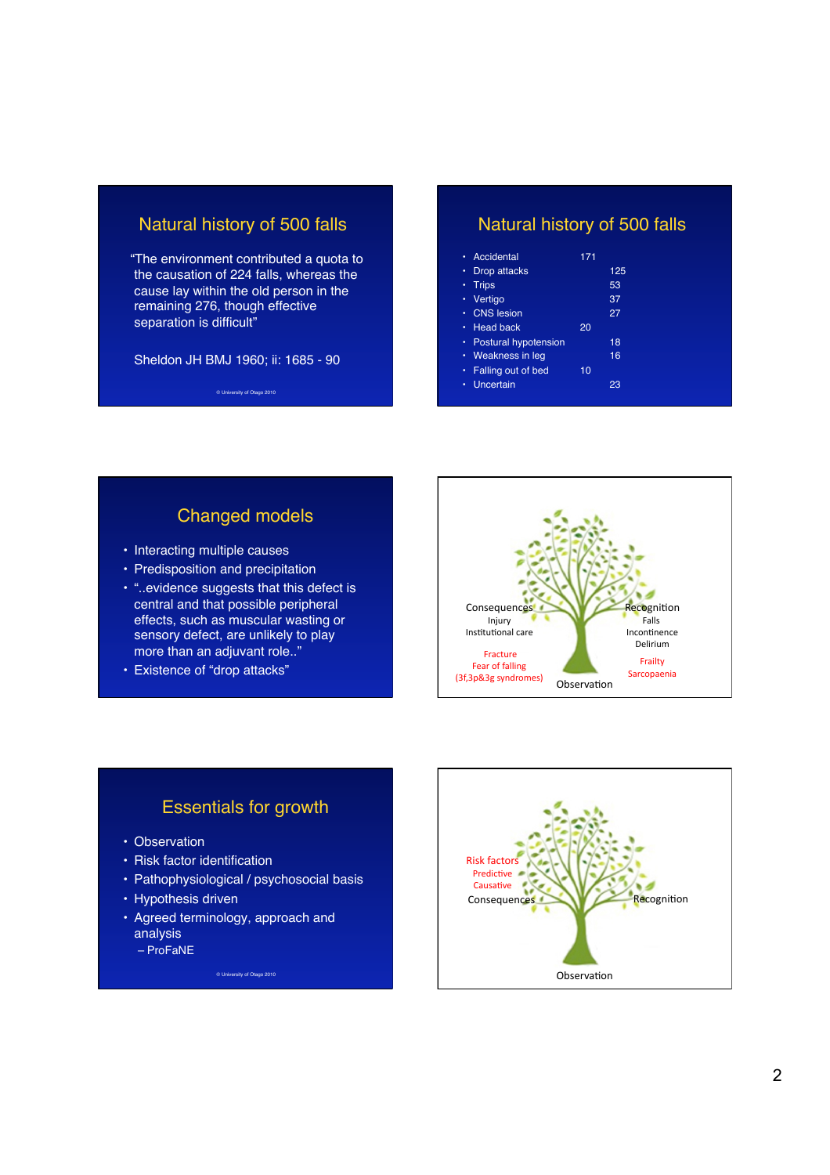### Natural history of 500 falls

 "The environment contributed a quota to the causation of 224 falls, whereas the cause lay within the old person in the remaining 276, though effective separation is difficult"

Sheldon JH BMJ 1960; ii: 1685 - 90

© University of Otago 2010

## Natural history of 500 falls

| · Accidental           | 171 |     |
|------------------------|-----|-----|
| Drop attacks<br>٠      |     | 125 |
| <b>Trips</b><br>٠      |     | 53  |
| • Vertigo              |     | 37  |
| $\cdot$ CNS lesion     |     | 27  |
| $\cdot$ Head back      | 20  |     |
| • Postural hypotension |     | 18  |
| • Weakness in leg      |     | 16  |
| • Falling out of bed   | 10  |     |
| Uncertain<br>٠         |     | 23  |

## Changed models

- Interacting multiple causes
- Predisposition and precipitation
- "..evidence suggests that this defect is central and that possible peripheral effects, such as muscular wasting or sensory defect, are unlikely to play more than an adjuvant role..'
- Existence of "drop attacks"



## Essentials for growth

- Observation
- Risk factor identification
- Pathophysiological / psychosocial basis
- Hypothesis driven
- Agreed terminology, approach and analysis

© University of Otago 2010

– ProFaNE

**Risk factors** Predictive + Causative ٠. Consequences Recognition Observation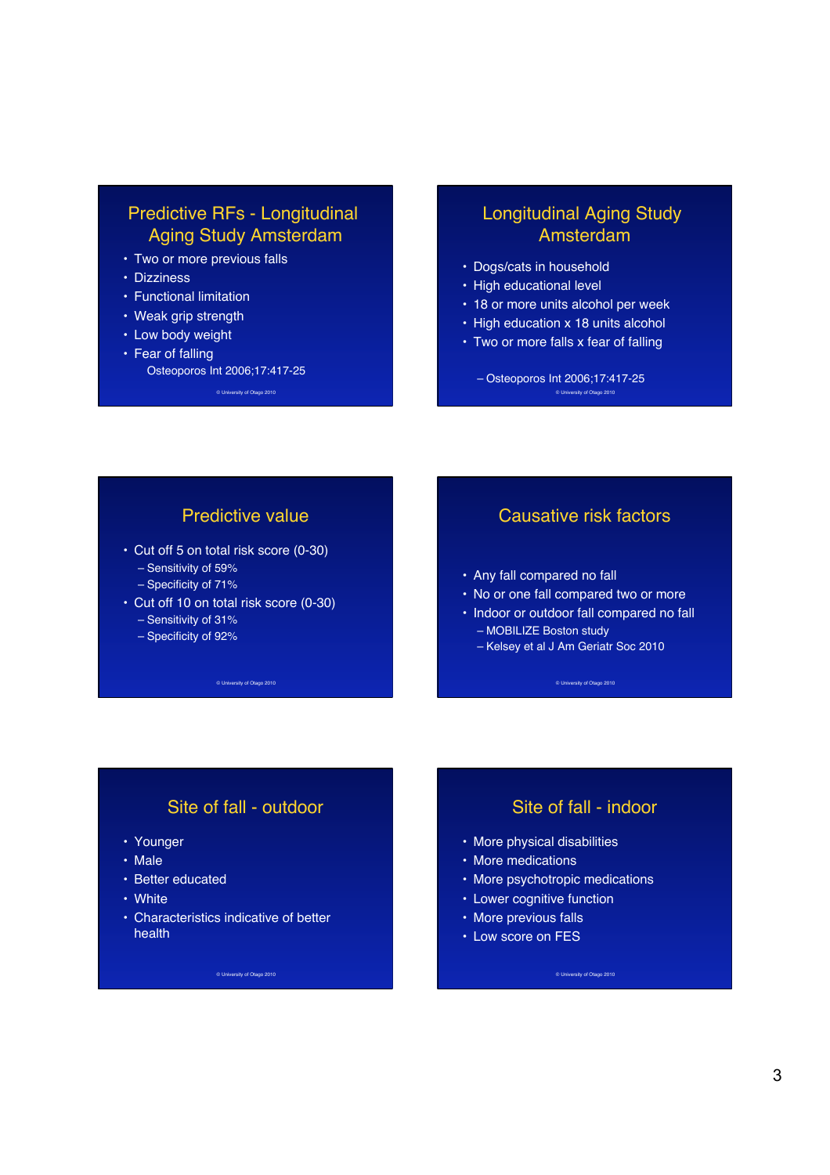## Predictive RFs - Longitudinal Aging Study Amsterdam

- Two or more previous falls
- Dizziness
- Functional limitation
- Weak grip strength
- Low body weight
- Fear of falling Osteoporos Int 2006;17:417-25

## Longitudinal Aging Study Amsterdam

- Dogs/cats in household
- High educational level
- 18 or more units alcohol per week
- High education x 18 units alcohol
- Two or more falls x fear of falling

– Osteoporos Int 2006;17:417-25 © University of Otago 2010

## Predictive value

© University of Otago 2010

- Cut off 5 on total risk score (0-30)
	- Sensitivity of 59%
	- Specificity of 71%
- Cut off 10 on total risk score (0-30)
	- Sensitivity of 31%
	- Specificity of 92%

### Causative risk factors

- Any fall compared no fall
- No or one fall compared two or more
- Indoor or outdoor fall compared no fall – MOBILIZE Boston study
	- Kelsey et al J Am Geriatr Soc 2010

© University of Otago 2010

### Site of fall - outdoor

© University of Otago 2010

- Younger
- Male
- Better educated
- White
- Characteristics indicative of better health

© University of Otago 2010

## Site of fall - indoor

© University of Otago 2010

- More physical disabilities
- More medications
- More psychotropic medications
- Lower cognitive function
- More previous falls
- Low score on FES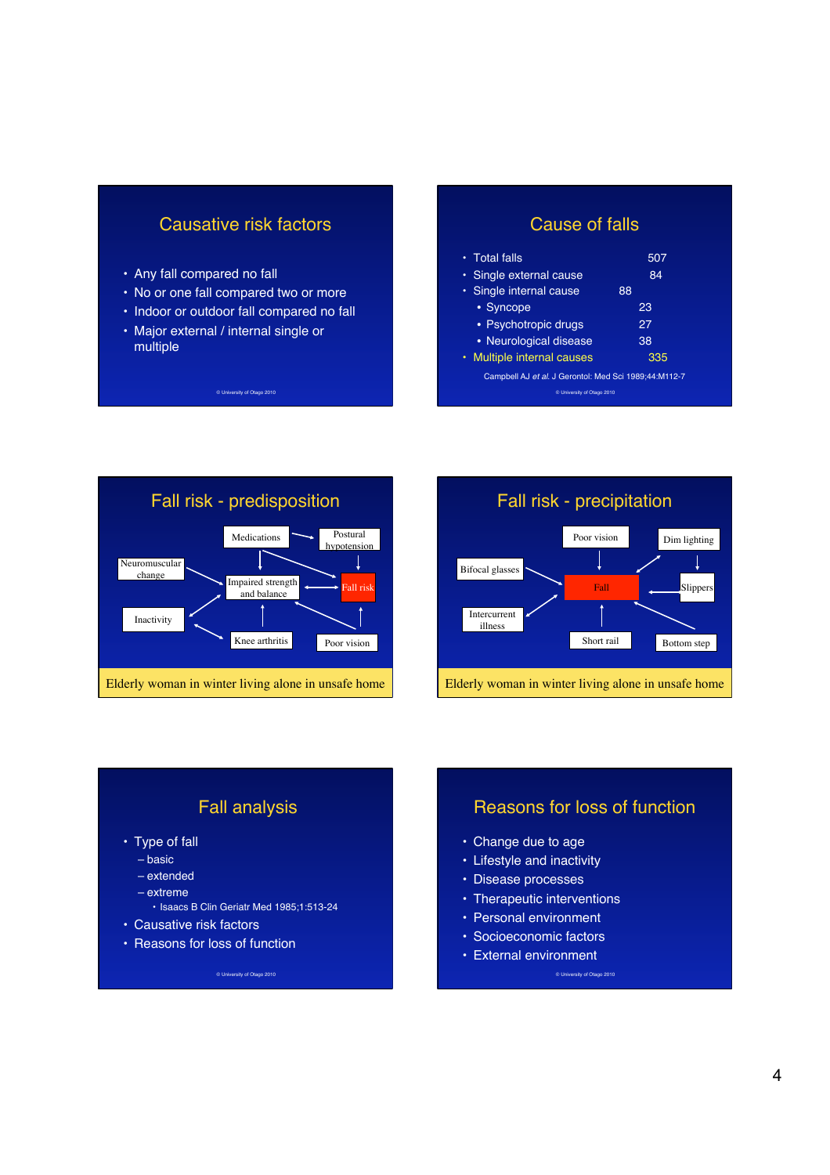## Causative risk factors

- Any fall compared no fall
- No or one fall compared two or more
- Indoor or outdoor fall compared no fall

© University of Otago 2010 © University of Otago 2010

• Major external / internal single or multiple

#### Cause of falls

| • Total falls                                         | 507 |  |
|-------------------------------------------------------|-----|--|
| Single external cause<br>$\bullet$                    | 84  |  |
| • Single internal cause                               | 88  |  |
| • Syncope                                             | 23  |  |
| • Psychotropic drugs                                  | 27  |  |
| • Neurological disease                                | 38  |  |
| <b>Multiple internal causes</b><br>٠                  | 335 |  |
| Campbell AJ et al. J Gerontol: Med Sci 1989;44:M112-7 |     |  |
| @ University of Otago 2010                            |     |  |





# Fall analysis

- Type of fall
	- basic
	- extended
	- extreme
	- Isaacs B Clin Geriatr Med 1985;1:513-24
- Causative risk factors
- Reasons for loss of function

© University of Otago 2010

## Reasons for loss of function

- Change due to age
- Lifestyle and inactivity
- Disease processes
- Therapeutic interventions
- Personal environment
- Socioeconomic factors
- External environment

© University of Otago 2010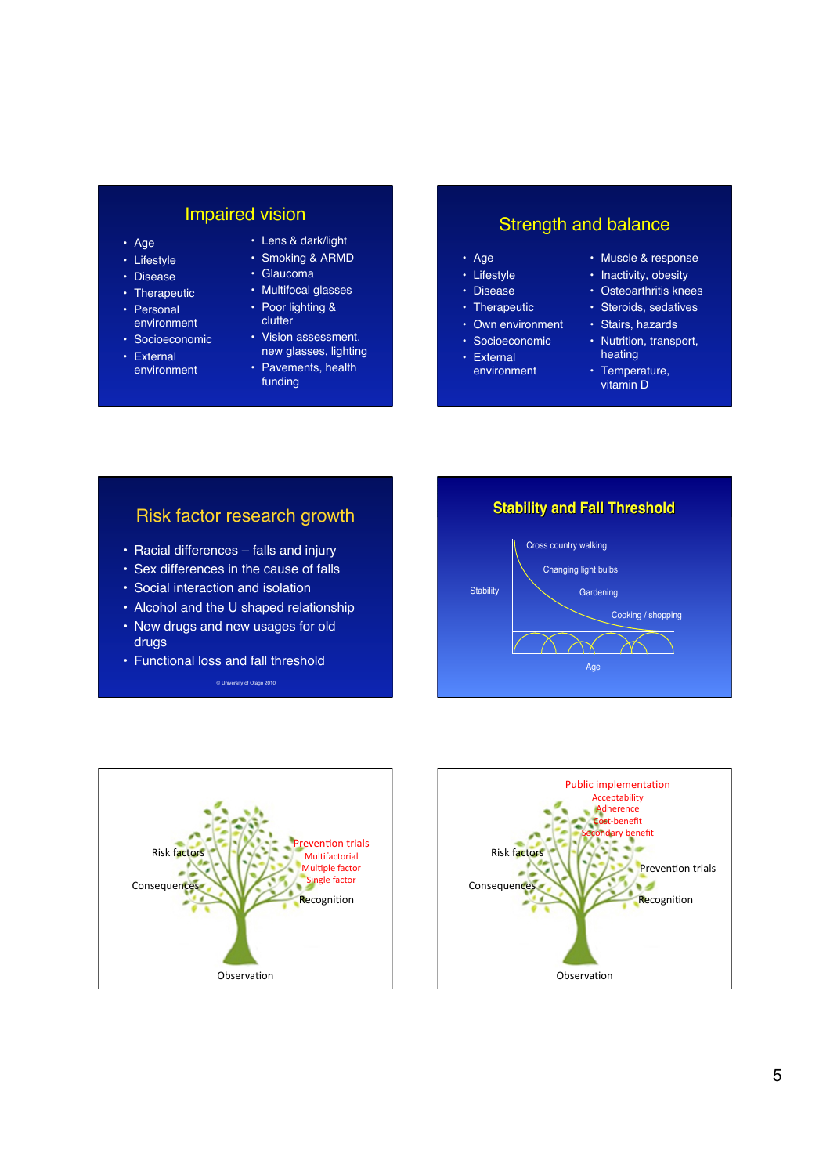## Impaired vision

- Age
- Lifestyle
- Disease
- Therapeutic • Personal
- environment
- Socioeconomic
- External environment
- Lens & dark/light
- Smoking & ARMD
- Glaucoma
- Multifocal glasses
- Poor lighting & clutter
- Vision assessment, new glasses, lighting
- Pavements, health funding

## Strength and balance

#### • Age

- Lifestyle
- Disease
- Therapeutic
- Own environment
- Socioeconomic
- External
- environment
- Muscle & response
- Inactivity, obesity
- Osteoarthritis knees
- Steroids, sedatives
- Stairs, hazards
- Nutrition, transport, heating
- Temperature, vitamin D

#### Risk factor research growth

- Racial differences falls and injury
- Sex differences in the cause of falls
- Social interaction and isolation
- Alcohol and the U shaped relationship
- New drugs and new usages for old drugs
- Functional loss and fall threshold

#### © University of Otago 2010 © University of Otago 2009